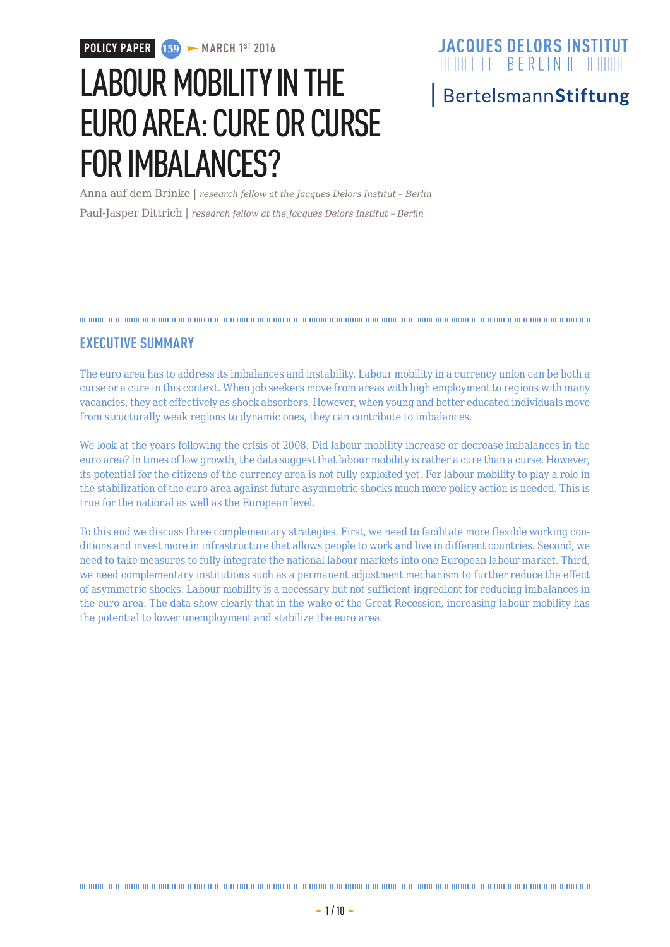# LABOUR MOBILITY IN THE EURO AREA: CURE OR CURSE FOR IMBALANCES?

### **JACQUES DELORS INSTITUT**

### BertelsmannStiftung

Anna auf dem Brinke | *research fellow at the Jacques Delors Institut – Berlin* Paul-Jasper Dittrich | *research fellow at the Jacques Delors Institut – Berlin*

### **EXECUTIVE SUMMARY**

The euro area has to address its imbalances and instability. Labour mobility in a currency union can be both a curse or a cure in this context. When job seekers move from areas with high employment to regions with many vacancies, they act effectively as shock absorbers. However, when young and better educated individuals move from structurally weak regions to dynamic ones, they can contribute to imbalances.

We look at the years following the crisis of 2008. Did labour mobility increase or decrease imbalances in the euro area? In times of low growth, the data suggest that labour mobility is rather a cure than a curse. However, its potential for the citizens of the currency area is not fully exploited yet. For labour mobility to play a role in the stabilization of the euro area against future asymmetric shocks much more policy action is needed. This is true for the national as well as the European level.

To this end we discuss three complementary strategies. First, we need to facilitate more flexible working conditions and invest more in infrastructure that allows people to work and live in different countries. Second, we need to take measures to fully integrate the national labour markets into one European labour market. Third, we need complementary institutions such as a permanent adjustment mechanism to further reduce the effect of asymmetric shocks. Labour mobility is a necessary but not sufficient ingredient for reducing imbalances in the euro area. The data show clearly that in the wake of the Great Recession, increasing labour mobility has the potential to lower unemployment and stabilize the euro area.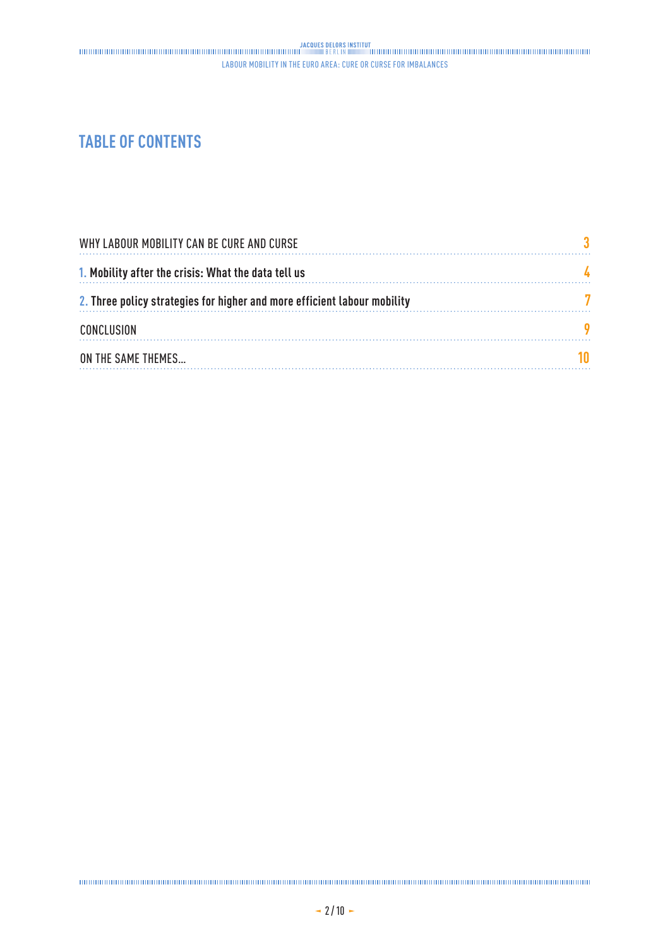### **TABLE OF CONTENTS**

| WHY LABOUR MOBILITY CAN BE CURE AND CURSE                                |  |
|--------------------------------------------------------------------------|--|
| 1. Mobility after the crisis: What the data tell us                      |  |
| 2. Three policy strategies for higher and more efficient labour mobility |  |
| <b>CONCLUSION</b>                                                        |  |
| ON THE SAME THEMES                                                       |  |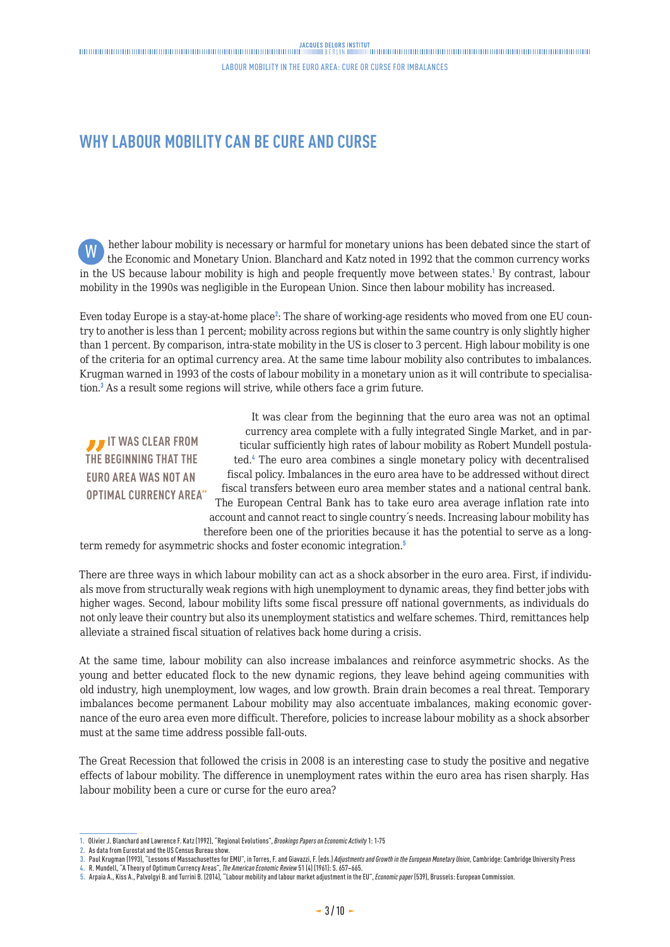Labour mobility in the euro area: cure or curse for imbalances

### <span id="page-2-0"></span>**WHY LABOUR MOBILITY CAN BE CURE AND CURSE**

hether labour mobility is necessary or harmful for monetary unions has been debated since the start of the Economic and Monetary Union. Blanchard and Katz noted in 1992 that the common currency works in the US because labour mobility is high and people frequently move between states.<sup>1</sup> By contrast, labour mobility in the 1990s was negligible in the European Union. Since then labour mobility has increased. W

Even today Europe is a stay-at-home place<sup>2</sup>: The share of working-age residents who moved from one EU country to another is less than 1 percent; mobility across regions but within the same country is only slightly higher than 1 percent. By comparison, intra-state mobility in the US is closer to 3 percent. High labour mobility is one of the criteria for an optimal currency area. At the same time labour mobility also contributes to imbalances. Krugman warned in 1993 of the costs of labour mobility in a monetary union as it will contribute to specialisation.<sup>3</sup> As a result some regions will strive, while others face a grim future.

*I* IT WAS CLEAR FROM **THE BEGINNING THAT THE EURO AREA WAS NOT AN OPTIMAL CURRENCY AREA"**

It was clear from the beginning that the euro area was not an optimal currency area complete with a fully integrated Single Market, and in particular sufficiently high rates of labour mobility as Robert Mundell postulated.<sup>4</sup> The euro area combines a single monetary policy with decentralised fiscal policy. Imbalances in the euro area have to be addressed without direct fiscal transfers between euro area member states and a national central bank. The European Central Bank has to take euro area average inflation rate into account and cannot react to single country´s needs. Increasing labour mobility has therefore been one of the priorities because it has the potential to serve as a long-

term remedy for asymmetric shocks and foster economic integration.<sup>5</sup>

There are three ways in which labour mobility can act as a shock absorber in the euro area. First, if individuals move from structurally weak regions with high unemployment to dynamic areas, they find better jobs with higher wages. Second, labour mobility lifts some fiscal pressure off national governments, as individuals do not only leave their country but also its unemployment statistics and welfare schemes. Third, remittances help alleviate a strained fiscal situation of relatives back home during a crisis.

At the same time, labour mobility can also increase imbalances and reinforce asymmetric shocks. As the young and better educated flock to the new dynamic regions, they leave behind ageing communities with old industry, high unemployment, low wages, and low growth. Brain drain becomes a real threat. Temporary imbalances become permanent Labour mobility may also accentuate imbalances, making economic governance of the euro area even more difficult. Therefore, policies to increase labour mobility as a shock absorber must at the same time address possible fall-outs.

The Great Recession that followed the crisis in 2008 is an interesting case to study the positive and negative effects of labour mobility. The difference in unemployment rates within the euro area has risen sharply. Has labour mobility been a cure or curse for the euro area?

**<sup>1.</sup>** Olivier J. Blanchard and Lawrence F. Katz (1992), "Regional Evolutions", *Brookings Papers on Economic Activity* 1: 1-75

**<sup>2.</sup>** As data from Eurostat and the US Census Bureau show.

**<sup>3.</sup>** Paul Krugman (1993), "Lessons of Massachusettes for EMU", in Torres, F. and Giavazzi, F. (eds.) *Adjustments and Growth in the European Monetary Union*, Cambridge: Cambridge University Press

**<sup>4.</sup>** R. Mundell, "A Theory of Optimum Currency Areas", *The American Economic Review* 51 (4) (1961): S. 657–665.

**<sup>5.</sup>** Arpaia A., Kiss A., Palvolgyi B. and Turrini B. (2014), "Labour mobility and labour market adjustment in the EU", *Economic paper* (539), Brussels: European Commission.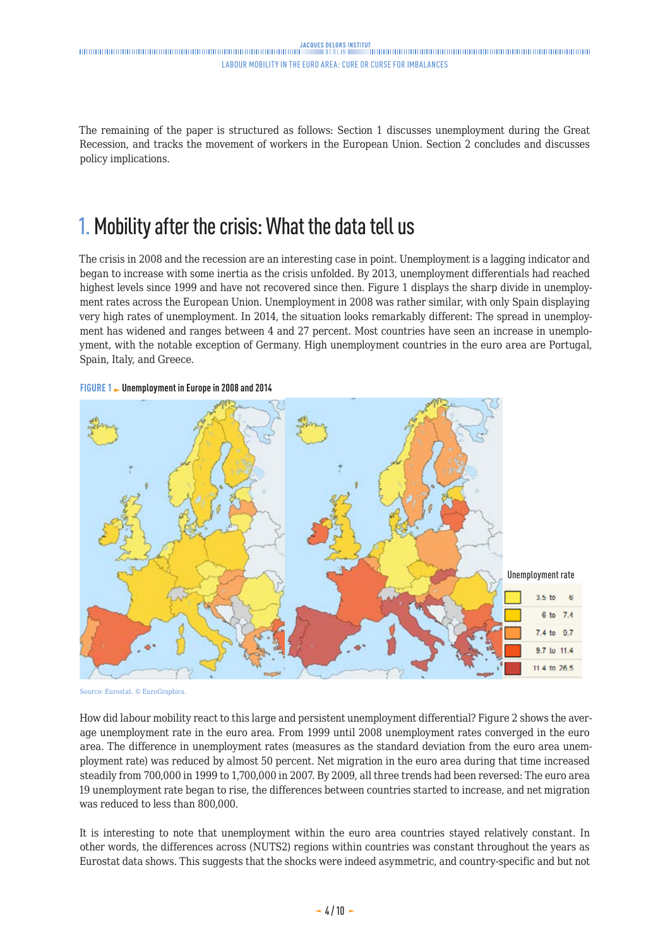<span id="page-3-0"></span>The remaining of the paper is structured as follows: Section 1 discusses unemployment during the Great Recession, and tracks the movement of workers in the European Union. Section 2 concludes and discusses policy implications.

## 1. Mobility after the crisis: What the data tell us

The crisis in 2008 and the recession are an interesting case in point. Unemployment is a lagging indicator and began to increase with some inertia as the crisis unfolded. By 2013, unemployment differentials had reached highest levels since 1999 and have not recovered since then. Figure 1 displays the sharp divide in unemployment rates across the European Union. Unemployment in 2008 was rather similar, with only Spain displaying very high rates of unemployment. In 2014, the situation looks remarkably different: The spread in unemployment has widened and ranges between 4 and 27 percent. Most countries have seen an increase in unemployment, with the notable exception of Germany. High unemployment countries in the euro area are Portugal, Spain, Italy, and Greece.





Source: Eurostat. © EuroGraphics.

How did labour mobility react to this large and persistent unemployment differential? Figure 2 shows the average unemployment rate in the euro area. From 1999 until 2008 unemployment rates converged in the euro area. The difference in unemployment rates (measures as the standard deviation from the euro area unemployment rate) was reduced by almost 50 percent. Net migration in the euro area during that time increased steadily from 700,000 in 1999 to 1,700,000 in 2007. By 2009, all three trends had been reversed: The euro area 19 unemployment rate began to rise, the differences between countries started to increase, and net migration was reduced to less than 800,000.

It is interesting to note that unemployment within the euro area countries stayed relatively constant. In other words, the differences across (NUTS2) regions within countries was constant throughout the years as Eurostat data shows. This suggests that the shocks were indeed asymmetric, and country-specific and but not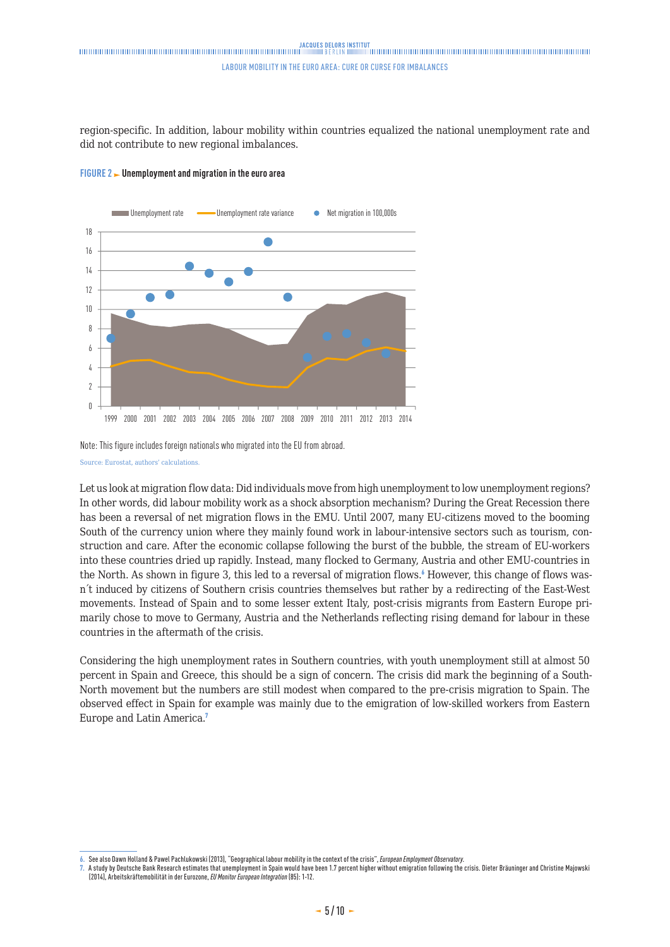### 

#### Labour mobility in the euro area: cure or curse for imbalances

region-specific. In addition, labour mobility within countries equalized the national unemployment rate and did not contribute to new regional imbalances.





Note: This figure includes foreign nationals who migrated into the EU from abroad. Source: Eurostat, authors' calculations.

Let us look at migration flow data: Did individuals move from high unemployment to low unemployment regions? In other words, did labour mobility work as a shock absorption mechanism? During the Great Recession there has been a reversal of net migration flows in the EMU. Until 2007, many EU-citizens moved to the booming South of the currency union where they mainly found work in labour-intensive sectors such as tourism, construction and care. After the economic collapse following the burst of the bubble, the stream of EU-workers into these countries dried up rapidly. Instead, many flocked to Germany, Austria and other EMU-countries in the North. As shown in figure 3, this led to a reversal of migration flows.<sup>6</sup> However, this change of flows wasn´t induced by citizens of Southern crisis countries themselves but rather by a redirecting of the East-West movements. Instead of Spain and to some lesser extent Italy, post-crisis migrants from Eastern Europe primarily chose to move to Germany, Austria and the Netherlands reflecting rising demand for labour in these countries in the aftermath of the crisis.

Considering the high unemployment rates in Southern countries, with youth unemployment still at almost 50 percent in Spain and Greece, this should be a sign of concern. The crisis did mark the beginning of a South-North movement but the numbers are still modest when compared to the pre-crisis migration to Spain. The observed effect in Spain for example was mainly due to the emigration of low-skilled workers from Eastern Europe and Latin America.<sup>7</sup>

**<sup>6.</sup>** See also Dawn Holland & Pawel Pachlukowski (2013), "Geographical labour mobility in the context of the crisis", *European Employment Observatory*.

**<sup>7.</sup>** A study by Deutsche Bank Research estimates that unemployment in Spain would have been 1.7 percent higher without emigration following the crisis. Dieter Bräuninger and Christine Majowski (2014), Arbeitskräftemobilität in der Eurozone, *EU Monitor European Integration* (85): 1-12.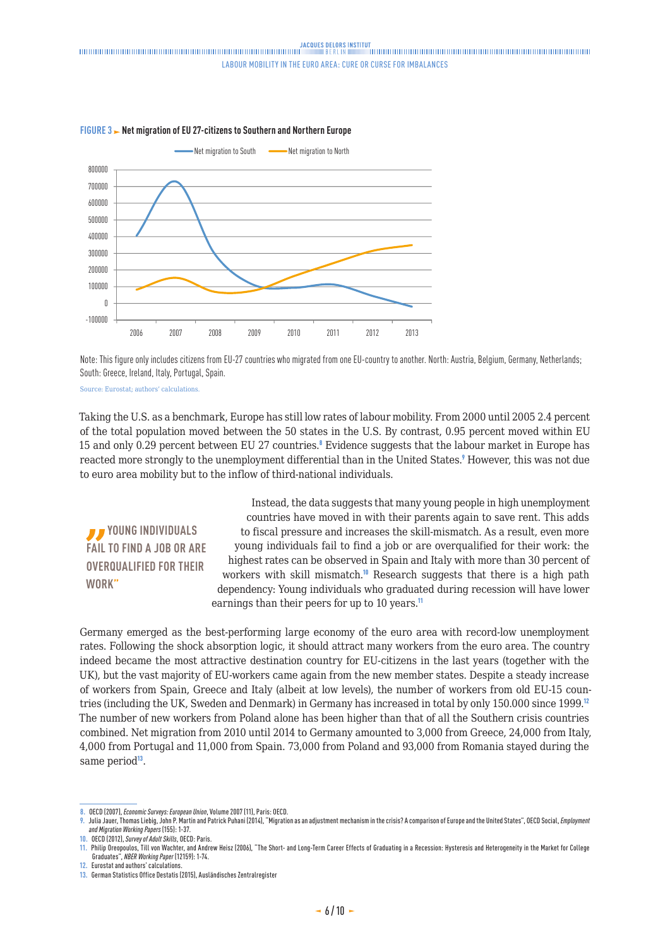

#### **FIGURE 3 Net migration of EU 27-citizens to Southern and Northern Europe**

Note: This figure only includes citizens from EU-27 countries who migrated from one EU-country to another. North: Austria, Belgium, Germany, Netherlands; South: Greece, Ireland, Italy, Portugal, Spain.

Source: Eurostat; authors' calculations.

Taking the U.S. as a benchmark, Europe has still low rates of labour mobility. From 2000 until 2005 2.4 percent of the total population moved between the 50 states in the U.S. By contrast, 0.95 percent moved within EU 15 and only 0.29 percent between EU 27 countries.<sup>8</sup> Evidence suggests that the labour market in Europe has reacted more strongly to the unemployment differential than in the United States.<sup>9</sup> However, this was not due to euro area mobility but to the inflow of third-national individuals.

 **YOUNG INDIVIDUALS FAIL TO FIND A JOB OR ARE OVERQUALIFIED FOR THEIR WORK"**

Instead, the data suggests that many young people in high unemployment countries have moved in with their parents again to save rent. This adds to fiscal pressure and increases the skill-mismatch. As a result, even more young individuals fail to find a job or are overqualified for their work: the highest rates can be observed in Spain and Italy with more than 30 percent of workers with skill mismatch.<sup>10</sup> Research suggests that there is a high path dependency: Young individuals who graduated during recession will have lower earnings than their peers for up to 10 years.<sup>11</sup>

Germany emerged as the best-performing large economy of the euro area with record-low unemployment rates. Following the shock absorption logic, it should attract many workers from the euro area. The country indeed became the most attractive destination country for EU-citizens in the last years (together with the UK), but the vast majority of EU-workers came again from the new member states. Despite a steady increase of workers from Spain, Greece and Italy (albeit at low levels), the number of workers from old EU-15 countries (including the UK, Sweden and Denmark) in Germany has increased in total by only 150.000 since 1999.<sup>12</sup> The number of new workers from Poland alone has been higher than that of all the Southern crisis countries combined. Net migration from 2010 until 2014 to Germany amounted to 3,000 from Greece, 24,000 from Italy, 4,000 from Portugal and 11,000 from Spain. 73,000 from Poland and 93,000 from Romania stayed during the same period<sup>13</sup>.

**<sup>8.</sup>** OECD (2007), *Economic Surveys: European Union*, Volume 2007 (11), Paris: OECD.

**<sup>9.</sup>** Julia Jauer, Thomas Liebig, John P. Martin and Patrick Puhani (2014), "Migration as an adjustment mechanism in the crisis? A comparison of Europe and the United States", OECD Social, *Employment and Migration Working Papers* (155): 1-37.

**<sup>10.</sup>** OECD (2012), *Survey of Adult Skills*, OECD: Paris.

**<sup>11.</sup>** Philip Oreopoulos, Till von Wachter, and Andrew Heisz (2006), "The Short- and Long-Term Career Effects of Graduating in a Recession: Hysteresis and Heterogeneity in the Market for College Graduates", *NBER Working Paper* (12159): 1-74.

**<sup>12.</sup>** Eurostat and authors' calculations.

**<sup>13.</sup>** German Statistics Office Destatis (2015), Ausländisches Zentralregister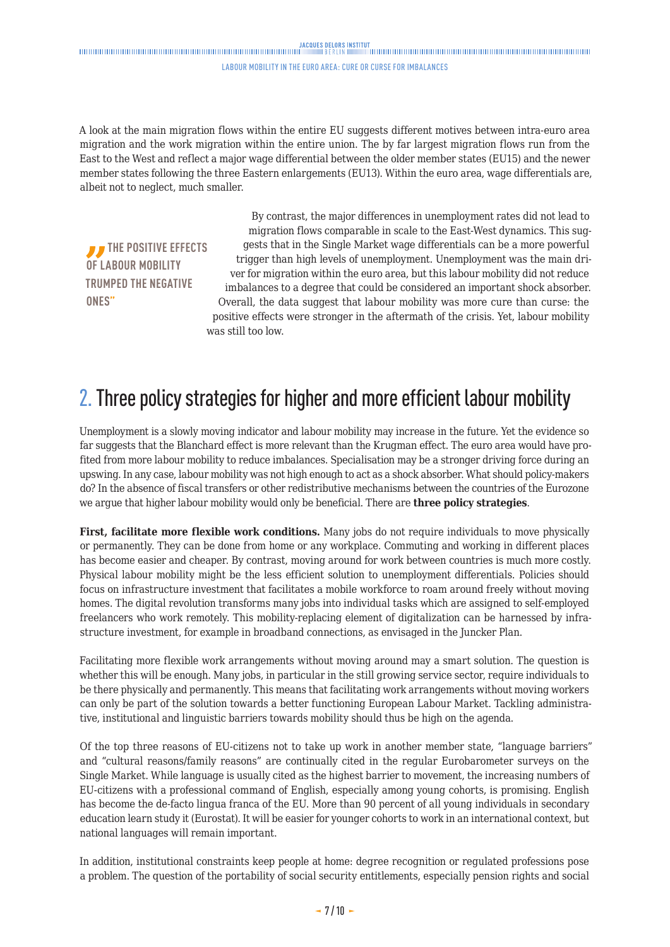#### Labour mobility in the euro area: cure or curse for imbalances

<span id="page-6-0"></span>A look at the main migration flows within the entire EU suggests different motives between intra-euro area migration and the work migration within the entire union. The by far largest migration flows run from the East to the West and reflect a major wage differential between the older member states (EU15) and the newer member states following the three Eastern enlargements (EU13). Within the euro area, wage differentials are, albeit not to neglect, much smaller.

*T* THE POSITIVE EFFECTS **OF LABOUR MOBILITY TRUMPED THE NEGATIVE ONES"**

By contrast, the major differences in unemployment rates did not lead to migration flows comparable in scale to the East-West dynamics. This suggests that in the Single Market wage differentials can be a more powerful trigger than high levels of unemployment. Unemployment was the main driver for migration within the euro area, but this labour mobility did not reduce imbalances to a degree that could be considered an important shock absorber. Overall, the data suggest that labour mobility was more cure than curse: the positive effects were stronger in the aftermath of the crisis. Yet, labour mobility was still too low.

### 2. Three policy strategies for higher and more efficient labour mobility

Unemployment is a slowly moving indicator and labour mobility may increase in the future. Yet the evidence so far suggests that the Blanchard effect is more relevant than the Krugman effect. The euro area would have profited from more labour mobility to reduce imbalances. Specialisation may be a stronger driving force during an upswing. In any case, labour mobility was not high enough to act as a shock absorber. What should policy-makers do? In the absence of fiscal transfers or other redistributive mechanisms between the countries of the Eurozone we argue that higher labour mobility would only be beneficial. There are **three policy strategies**.

**First, facilitate more flexible work conditions.** Many jobs do not require individuals to move physically or permanently. They can be done from home or any workplace. Commuting and working in different places has become easier and cheaper. By contrast, moving around for work between countries is much more costly. Physical labour mobility might be the less efficient solution to unemployment differentials. Policies should focus on infrastructure investment that facilitates a mobile workforce to roam around freely without moving homes. The digital revolution transforms many jobs into individual tasks which are assigned to self-employed freelancers who work remotely. This mobility-replacing element of digitalization can be harnessed by infrastructure investment, for example in broadband connections, as envisaged in the Juncker Plan.

Facilitating more flexible work arrangements without moving around may a smart solution. The question is whether this will be enough. Many jobs, in particular in the still growing service sector, require individuals to be there physically and permanently. This means that facilitating work arrangements without moving workers can only be part of the solution towards a better functioning European Labour Market. Tackling administrative, institutional and linguistic barriers towards mobility should thus be high on the agenda.

Of the top three reasons of EU-citizens not to take up work in another member state, "language barriers" and "cultural reasons/family reasons" are continually cited in the regular Eurobarometer surveys on the Single Market. While language is usually cited as the highest barrier to movement, the increasing numbers of EU-citizens with a professional command of English, especially among young cohorts, is promising. English has become the de-facto lingua franca of the EU. More than 90 percent of all young individuals in secondary education learn study it (Eurostat). It will be easier for younger cohorts to work in an international context, but national languages will remain important.

In addition, institutional constraints keep people at home: degree recognition or regulated professions pose a problem. The question of the portability of social security entitlements, especially pension rights and social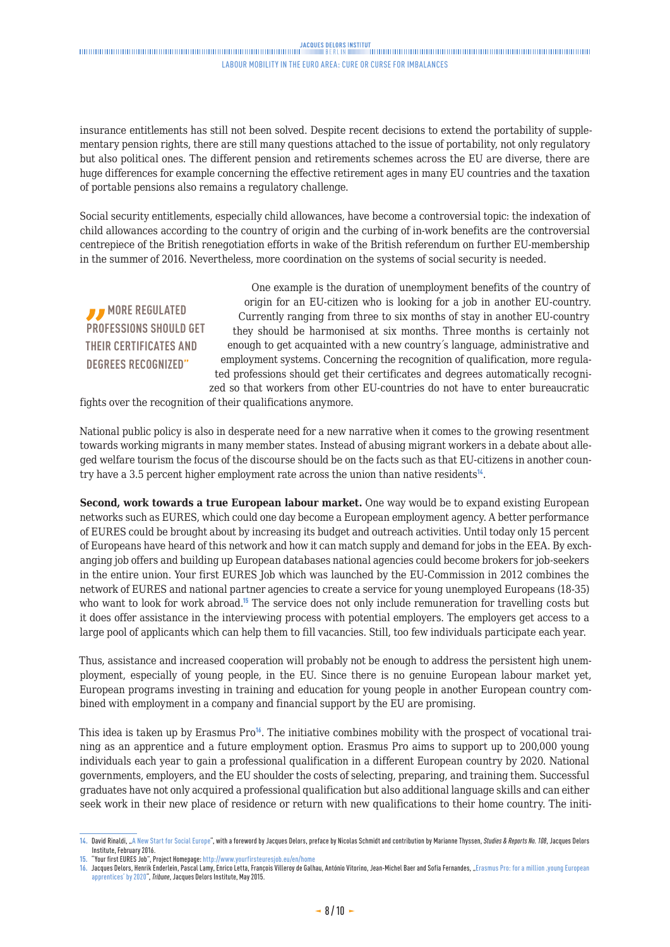#### JACOUES DELORS INSTITUT<br>- DININGHANDING DININGHANDING DININGHANDING DININGHANDING DININGHANDING DININGHANDING DININGHANDING DININGHANDING DININGHANDING DININGHANDING DININGHANDING DININGHANDING DININGHANDING DININGHANDING Labour mobility in the euro area: cure or curse for imbalances

insurance entitlements has still not been solved. Despite recent decisions to extend the portability of supplementary pension rights, there are still many questions attached to the issue of portability, not only regulatory but also political ones. The different pension and retirements schemes across the EU are diverse, there are huge differences for example concerning the effective retirement ages in many EU countries and the taxation of portable pensions also remains a regulatory challenge.

Social security entitlements, especially child allowances, have become a controversial topic: the indexation of child allowances according to the country of origin and the curbing of in-work benefits are the controversial centrepiece of the British renegotiation efforts in wake of the British referendum on further EU-membership in the summer of 2016. Nevertheless, more coordination on the systems of social security is needed.

*MORE REGULATED* **PROFESSIONS SHOULD GET THEIR CERTIFICATES AND DEGREES RECOGNIZED"**

One example is the duration of unemployment benefits of the country of origin for an EU-citizen who is looking for a job in another EU-country. Currently ranging from three to six months of stay in another EU-country they should be harmonised at six months. Three months is certainly not enough to get acquainted with a new country´s language, administrative and employment systems. Concerning the recognition of qualification, more regulated professions should get their certificates and degrees automatically recognized so that workers from other EU-countries do not have to enter bureaucratic

fights over the recognition of their qualifications anymore.

National public policy is also in desperate need for a new narrative when it comes to the growing resentment towards working migrants in many member states. Instead of abusing migrant workers in a debate about alleged welfare tourism the focus of the discourse should be on the facts such as that EU-citizens in another country have a 3.5 percent higher employment rate across the union than native residents $<sup>14</sup>$ .</sup>

**Second, work towards a true European labour market.** One way would be to expand existing European networks such as EURES, which could one day become a European employment agency. A better performance of EURES could be brought about by increasing its budget and outreach activities. Until today only 15 percent of Europeans have heard of this network and how it can match supply and demand for jobs in the EEA. By exchanging job offers and building up European databases national agencies could become brokers for job-seekers in the entire union. Your first EURES Job which was launched by the EU-Commission in 2012 combines the network of EURES and national partner agencies to create a service for young unemployed Europeans (18-35) who want to look for work abroad.<sup>15</sup> The service does not only include remuneration for travelling costs but it does offer assistance in the interviewing process with potential employers. The employers get access to a large pool of applicants which can help them to fill vacancies. Still, too few individuals participate each year.

Thus, assistance and increased cooperation will probably not be enough to address the persistent high unemployment, especially of young people, in the EU. Since there is no genuine European labour market yet, European programs investing in training and education for young people in another European country combined with employment in a company and financial support by the EU are promising.

This idea is taken up by Erasmus Pro<sup>16</sup>. The initiative combines mobility with the prospect of vocational training as an apprentice and a future employment option. Erasmus Pro aims to support up to 200,000 young individuals each year to gain a professional qualification in a different European country by 2020. National governments, employers, and the EU shoulder the costs of selecting, preparing, and training them. Successful graduates have not only acquired a professional qualification but also additional language skills and can either seek work in their new place of residence or return with new qualifications to their home country. The initi-

**<sup>14.</sup>** David Rinaldi, "[A New Start for Social Europe"](http://www.delorsinstitute.eu/011-22396-A-new-start-for-Social-Europe.html), with a foreword by Jacques Delors, preface by Nicolas Schmidt and contribution by Marianne Thyssen, *Studies & Reports No. 108*, Jacques Delors Institute, February 2016.

**<sup>15.</sup>** "Your first EURES Job", Project Homepage:<http://www.yourfirsteuresjob.eu/en/home>

<sup>16.</sup> Jacques Delors, Henrik Enderlein, Pascal Lamy, Enrico Letta, François Villeroy de Galhau, António Vitorino, Jean-Michel Baer and Sofia Fernandes, "Erasmus Pro: for a million .young European [apprentices' by 2020](http://www.delorsinstitute.eu/011-21235-Erasmus-Pro-for-a-million-young-European-apprentices-by-2020.html)", *Tribune*, Jacques Delors Institute, May 2015.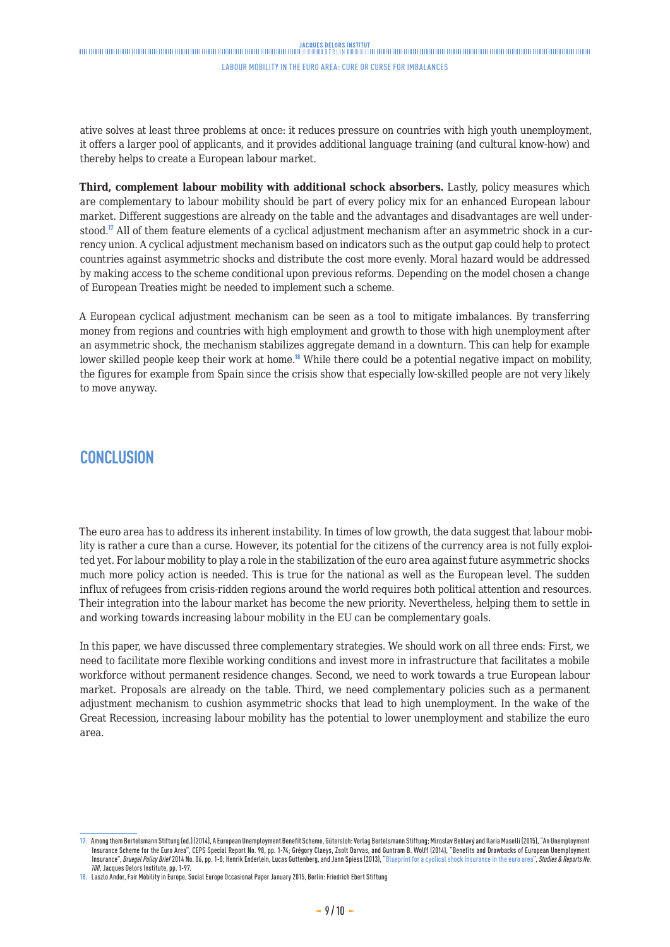### <span id="page-8-0"></span>

#### Labour mobility in the euro area: cure or curse for imbalances

ative solves at least three problems at once: it reduces pressure on countries with high youth unemployment, it offers a larger pool of applicants, and it provides additional language training (and cultural know-how) and thereby helps to create a European labour market.

**Third, complement labour mobility with additional schock absorbers.** Lastly, policy measures which are complementary to labour mobility should be part of every policy mix for an enhanced European labour market. Different suggestions are already on the table and the advantages and disadvantages are well understood.<sup>17</sup> All of them feature elements of a cyclical adjustment mechanism after an asymmetric shock in a currency union. A cyclical adjustment mechanism based on indicators such as the output gap could help to protect countries against asymmetric shocks and distribute the cost more evenly. Moral hazard would be addressed by making access to the scheme conditional upon previous reforms. Depending on the model chosen a change of European Treaties might be needed to implement such a scheme.

A European cyclical adjustment mechanism can be seen as a tool to mitigate imbalances. By transferring money from regions and countries with high employment and growth to those with high unemployment after an asymmetric shock, the mechanism stabilizes aggregate demand in a downturn. This can help for example lower skilled people keep their work at home.<sup>18</sup> While there could be a potential negative impact on mobility, the figures for example from Spain since the crisis show that especially low-skilled people are not very likely to move anyway.

### **CONCLUSION**

The euro area has to address its inherent instability. In times of low growth, the data suggest that labour mobility is rather a cure than a curse. However, its potential for the citizens of the currency area is not fully exploited yet. For labour mobility to play a role in the stabilization of the euro area against future asymmetric shocks much more policy action is needed. This is true for the national as well as the European level. The sudden influx of refugees from crisis-ridden regions around the world requires both political attention and resources. Their integration into the labour market has become the new priority. Nevertheless, helping them to settle in and working towards increasing labour mobility in the EU can be complementary goals.

In this paper, we have discussed three complementary strategies. We should work on all three ends: First, we need to facilitate more flexible working conditions and invest more in infrastructure that facilitates a mobile workforce without permanent residence changes. Second, we need to work towards a true European labour market. Proposals are already on the table. Third, we need complementary policies such as a permanent adjustment mechanism to cushion asymmetric shocks that lead to high unemployment. In the wake of the Great Recession, increasing labour mobility has the potential to lower unemployment and stabilize the euro area.

**<sup>17.</sup>** Among them Bertelsmann Stiftung (ed.) (2014), A European Unemployment Benefit Scheme, Gütersloh: Verlag Bertelsmann Stiftung; Miroslav Beblavý and Ilaria Maselli (2015), "An Unemployment Insurance Scheme for the Euro Area", CEPS Special Report No. 98, pp. 1-74; Grégory Claeys, Zsolt Darvas, and Gunram B. Wolff (2014), "Benefits and Drawbacks of European Unemployment<br>Insurance", *Bruegel Policy Brief 2*014 *100*, Jacques Delors Institute, pp. 1-97.

**<sup>18.</sup>** Laszlo Andor, Fair Mobility in Europe, Social Europe Occasional Paper January 2015, Berlin: Friedrich Ebert Stiftung